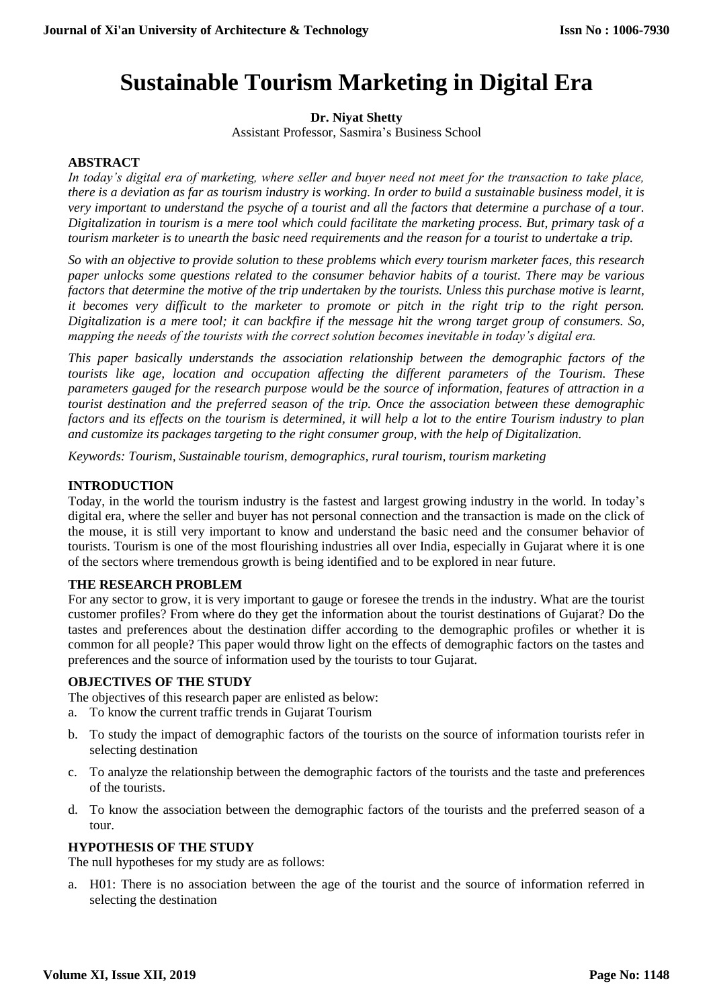# **Sustainable Tourism Marketing in Digital Era**

# **Dr. Niyat Shetty**

Assistant Professor, Sasmira's Business School

# **ABSTRACT**

*In today's digital era of marketing, where seller and buyer need not meet for the transaction to take place, there is a deviation as far as tourism industry is working. In order to build a sustainable business model, it is very important to understand the psyche of a tourist and all the factors that determine a purchase of a tour. Digitalization in tourism is a mere tool which could facilitate the marketing process. But, primary task of a tourism marketer is to unearth the basic need requirements and the reason for a tourist to undertake a trip.* 

*So with an objective to provide solution to these problems which every tourism marketer faces, this research paper unlocks some questions related to the consumer behavior habits of a tourist. There may be various factors that determine the motive of the trip undertaken by the tourists. Unless this purchase motive is learnt, it becomes very difficult to the marketer to promote or pitch in the right trip to the right person. Digitalization is a mere tool; it can backfire if the message hit the wrong target group of consumers. So, mapping the needs of the tourists with the correct solution becomes inevitable in today's digital era.* 

*This paper basically understands the association relationship between the demographic factors of the tourists like age, location and occupation affecting the different parameters of the Tourism. These parameters gauged for the research purpose would be the source of information, features of attraction in a tourist destination and the preferred season of the trip. Once the association between these demographic factors and its effects on the tourism is determined, it will help a lot to the entire Tourism industry to plan and customize its packages targeting to the right consumer group, with the help of Digitalization.* 

*Keywords: Tourism, Sustainable tourism, demographics, rural tourism, tourism marketing* 

# **INTRODUCTION**

Today, in the world the tourism industry is the fastest and largest growing industry in the world. In today's digital era, where the seller and buyer has not personal connection and the transaction is made on the click of the mouse, it is still very important to know and understand the basic need and the consumer behavior of tourists. Tourism is one of the most flourishing industries all over India, especially in Gujarat where it is one of the sectors where tremendous growth is being identified and to be explored in near future.

## **THE RESEARCH PROBLEM**

For any sector to grow, it is very important to gauge or foresee the trends in the industry. What are the tourist customer profiles? From where do they get the information about the tourist destinations of Gujarat? Do the tastes and preferences about the destination differ according to the demographic profiles or whether it is common for all people? This paper would throw light on the effects of demographic factors on the tastes and preferences and the source of information used by the tourists to tour Gujarat.

## **OBJECTIVES OF THE STUDY**

The objectives of this research paper are enlisted as below:

- a. To know the current traffic trends in Gujarat Tourism
- b. To study the impact of demographic factors of the tourists on the source of information tourists refer in selecting destination
- c. To analyze the relationship between the demographic factors of the tourists and the taste and preferences of the tourists.
- d. To know the association between the demographic factors of the tourists and the preferred season of a tour.

## **HYPOTHESIS OF THE STUDY**

The null hypotheses for my study are as follows:

a. H01: There is no association between the age of the tourist and the source of information referred in selecting the destination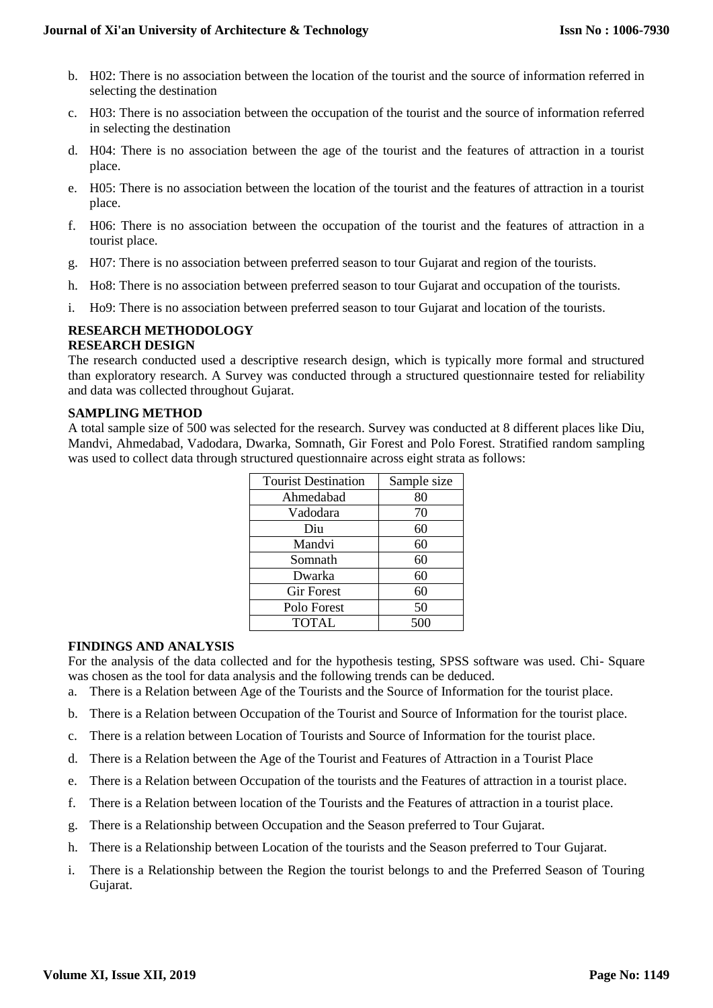- b. H02: There is no association between the location of the tourist and the source of information referred in selecting the destination
- c. H03: There is no association between the occupation of the tourist and the source of information referred in selecting the destination
- d. H04: There is no association between the age of the tourist and the features of attraction in a tourist place.
- e. H05: There is no association between the location of the tourist and the features of attraction in a tourist place.
- f. H06: There is no association between the occupation of the tourist and the features of attraction in a tourist place.
- g. H07: There is no association between preferred season to tour Gujarat and region of the tourists.
- h. Ho8: There is no association between preferred season to tour Gujarat and occupation of the tourists.
- i. Ho9: There is no association between preferred season to tour Gujarat and location of the tourists.

#### **RESEARCH METHODOLOGY RESEARCH DESIGN**

The research conducted used a descriptive research design, which is typically more formal and structured than exploratory research. A Survey was conducted through a structured questionnaire tested for reliability and data was collected throughout Gujarat.

## **SAMPLING METHOD**

A total sample size of 500 was selected for the research. Survey was conducted at 8 different places like Diu, Mandvi, Ahmedabad, Vadodara, Dwarka, Somnath, Gir Forest and Polo Forest. Stratified random sampling was used to collect data through structured questionnaire across eight strata as follows:

| <b>Tourist Destination</b> | Sample size |
|----------------------------|-------------|
| Ahmedabad                  | 80          |
| Vadodara                   | 70          |
| Diu                        | 60          |
| Mandvi                     | 60          |
| Somnath                    | 60          |
| Dwarka                     | 60          |
| <b>Gir Forest</b>          | 60          |
| Polo Forest                | 50          |
| <b>TOTAL</b>               | 500         |

## **FINDINGS AND ANALYSIS**

For the analysis of the data collected and for the hypothesis testing, SPSS software was used. Chi- Square was chosen as the tool for data analysis and the following trends can be deduced.

- a. There is a Relation between Age of the Tourists and the Source of Information for the tourist place.
- b. There is a Relation between Occupation of the Tourist and Source of Information for the tourist place.
- c. There is a relation between Location of Tourists and Source of Information for the tourist place.
- d. There is a Relation between the Age of the Tourist and Features of Attraction in a Tourist Place
- e. There is a Relation between Occupation of the tourists and the Features of attraction in a tourist place.
- f. There is a Relation between location of the Tourists and the Features of attraction in a tourist place.
- g. There is a Relationship between Occupation and the Season preferred to Tour Gujarat.
- h. There is a Relationship between Location of the tourists and the Season preferred to Tour Gujarat.
- i. There is a Relationship between the Region the tourist belongs to and the Preferred Season of Touring Gujarat.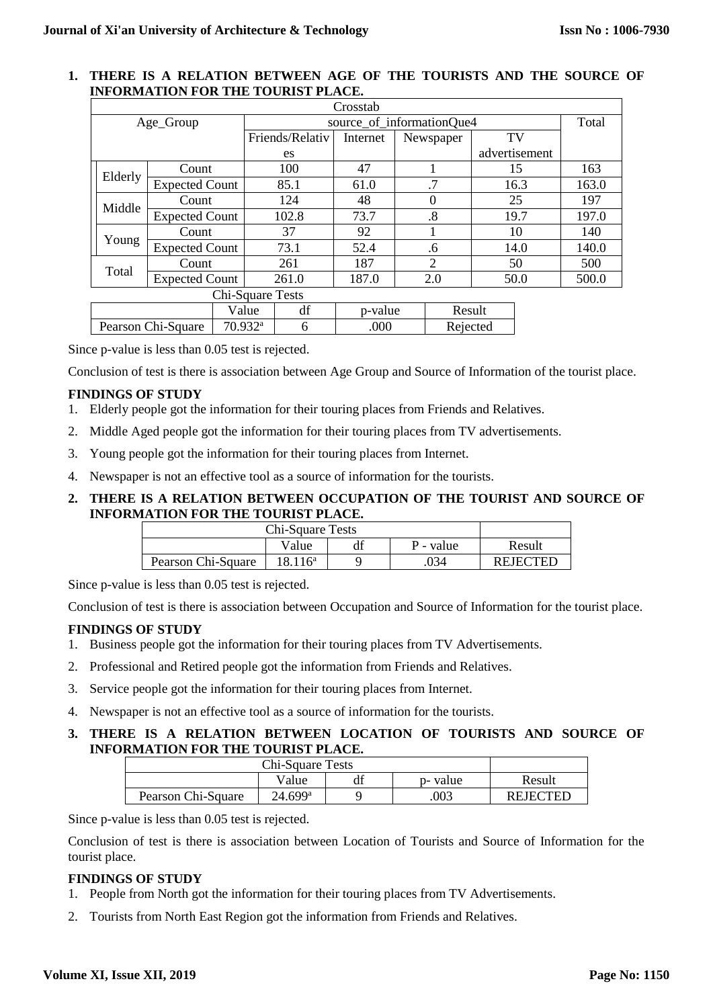## **1. THERE IS A RELATION BETWEEN AGE OF THE TOURISTS AND THE SOURCE OF INFORMATION FOR THE TOURIST PLACE.**

| Crosstab                       |                       |                       |                           |                 |          |    |                   |      |               |       |
|--------------------------------|-----------------------|-----------------------|---------------------------|-----------------|----------|----|-------------------|------|---------------|-------|
| Age_Group                      |                       |                       | source_of_informationQue4 |                 |          |    |                   |      | Total         |       |
|                                |                       |                       |                           | Friends/Relativ | Internet |    | Newspaper         |      | TV            |       |
|                                |                       |                       |                           | es              |          |    |                   |      | advertisement |       |
| Elderly                        | Count                 |                       |                           | 100             | 47       |    |                   |      | 15            | 163   |
|                                | <b>Expected Count</b> |                       |                           | 85.1            | 61.0     |    | .7                |      | 16.3          | 163.0 |
| Count                          |                       |                       |                           | 124             | 48       |    | $\theta$          | 25   |               | 197   |
| Middle                         | <b>Expected Count</b> |                       |                           | 102.8           | 73.7     |    | $\boldsymbol{.8}$ |      | 19.7          | 197.0 |
| Count                          |                       |                       |                           | 37              | 92       |    |                   |      | 10            | 140   |
| Young<br><b>Expected Count</b> |                       |                       |                           | 73.1            | 52.4     | .6 |                   | 14.0 | 140.0         |       |
| Count<br>Total                 |                       |                       |                           | 261             | 187      |    | $\overline{2}$    |      | 50            | 500   |
| <b>Expected Count</b>          |                       |                       |                           | 261.0           | 187.0    |    | 2.0               |      | 50.0          | 500.0 |
| Chi-Square Tests               |                       |                       |                           |                 |          |    |                   |      |               |       |
|                                |                       |                       | Value                     | df              | p-value  |    | Result            |      |               |       |
| Pearson Chi-Square             |                       | $70.932$ <sup>a</sup> |                           | 6               | .000     |    | Rejected          |      |               |       |

Since p-value is less than 0.05 test is rejected.

Conclusion of test is there is association between Age Group and Source of Information of the tourist place.

# **FINDINGS OF STUDY**

- 1. Elderly people got the information for their touring places from Friends and Relatives.
- 2. Middle Aged people got the information for their touring places from TV advertisements.
- 3. Young people got the information for their touring places from Internet.
- 4. Newspaper is not an effective tool as a source of information for the tourists.

# **2. THERE IS A RELATION BETWEEN OCCUPATION OF THE TOURIST AND SOURCE OF INFORMATION FOR THE TOURIST PLACE.**

| Chi-Square Tests   |            |  |     |                 |
|--------------------|------------|--|-----|-----------------|
|                    | Result     |  |     |                 |
| Pearson Chi-Square | $18.116^a$ |  | 034 | <b>REJECTED</b> |

Since p-value is less than 0.05 test is rejected.

Conclusion of test is there is association between Occupation and Source of Information for the tourist place.

# **FINDINGS OF STUDY**

- 1. Business people got the information for their touring places from TV Advertisements.
- 2. Professional and Retired people got the information from Friends and Relatives.
- 3. Service people got the information for their touring places from Internet.
- 4. Newspaper is not an effective tool as a source of information for the tourists.

# **3. THERE IS A RELATION BETWEEN LOCATION OF TOURISTS AND SOURCE OF INFORMATION FOR THE TOURIST PLACE.**

|                    | Result                |  |      |                 |
|--------------------|-----------------------|--|------|-----------------|
| Pearson Chi-Square | $24.699$ <sup>a</sup> |  | .003 | <b>REJECTED</b> |

Since p-value is less than 0.05 test is rejected.

Conclusion of test is there is association between Location of Tourists and Source of Information for the tourist place.

# **FINDINGS OF STUDY**

- 1. People from North got the information for their touring places from TV Advertisements.
- 2. Tourists from North East Region got the information from Friends and Relatives.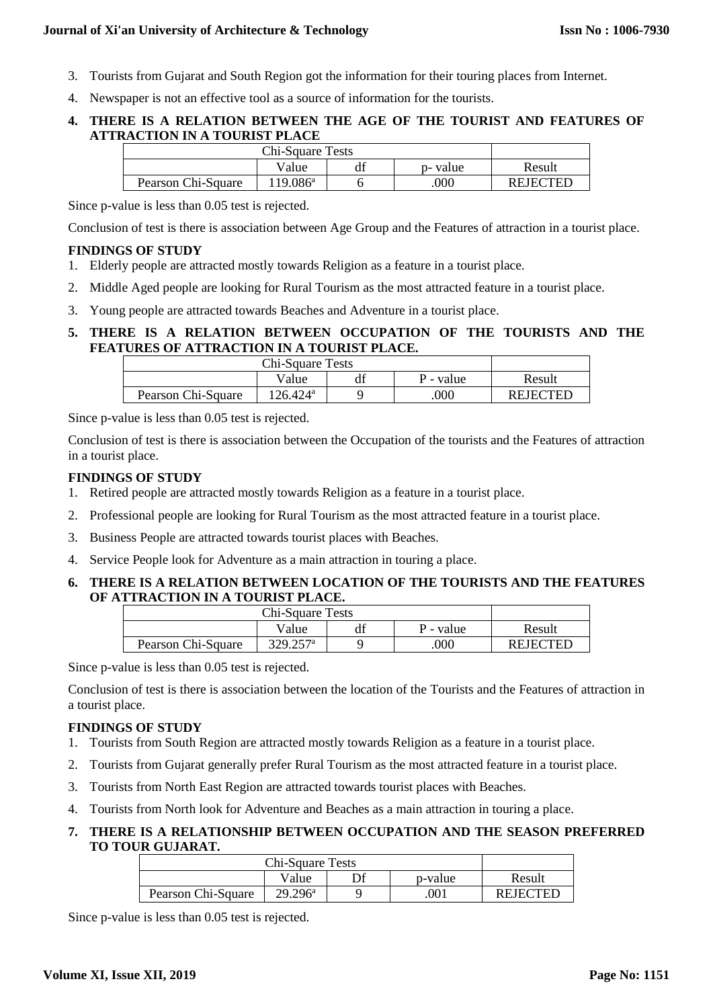- 3. Tourists from Gujarat and South Region got the information for their touring places from Internet.
- 4. Newspaper is not an effective tool as a source of information for the tourists.

# **4. THERE IS A RELATION BETWEEN THE AGE OF THE TOURIST AND FEATURES OF ATTRACTION IN A TOURIST PLACE**

|                    | Result            |  |      |                 |
|--------------------|-------------------|--|------|-----------------|
| Pearson Chi-Square | $119.086^{\circ}$ |  | .000 | <b>REJECTED</b> |

Since p-value is less than 0.05 test is rejected.

Conclusion of test is there is association between Age Group and the Features of attraction in a tourist place.

# **FINDINGS OF STUDY**

- 1. Elderly people are attracted mostly towards Religion as a feature in a tourist place.
- 2. Middle Aged people are looking for Rural Tourism as the most attracted feature in a tourist place.
- 3. Young people are attracted towards Beaches and Adventure in a tourist place.

# **5. THERE IS A RELATION BETWEEN OCCUPATION OF THE TOURISTS AND THE FEATURES OF ATTRACTION IN A TOURIST PLACE.**

|                    | Result   |  |     |                 |
|--------------------|----------|--|-----|-----------------|
| Pearson Chi-Square | 126.424ª |  | 000 | <b>REJECTED</b> |

Since p-value is less than 0.05 test is rejected.

Conclusion of test is there is association between the Occupation of the tourists and the Features of attraction in a tourist place.

# **FINDINGS OF STUDY**

- 1. Retired people are attracted mostly towards Religion as a feature in a tourist place.
- 2. Professional people are looking for Rural Tourism as the most attracted feature in a tourist place.
- 3. Business People are attracted towards tourist places with Beaches.
- 4. Service People look for Adventure as a main attraction in touring a place.

# **6. THERE IS A RELATION BETWEEN LOCATION OF THE TOURISTS AND THE FEATURES OF ATTRACTION IN A TOURIST PLACE.**

|                    | Result                 |  |     |                 |
|--------------------|------------------------|--|-----|-----------------|
| Pearson Chi-Square | $329.257$ <sup>a</sup> |  | 000 | <b>REJECTED</b> |

Since p-value is less than 0.05 test is rejected.

Conclusion of test is there is association between the location of the Tourists and the Features of attraction in a tourist place.

# **FINDINGS OF STUDY**

- 1. Tourists from South Region are attracted mostly towards Religion as a feature in a tourist place.
- 2. Tourists from Gujarat generally prefer Rural Tourism as the most attracted feature in a tourist place.
- 3. Tourists from North East Region are attracted towards tourist places with Beaches.
- 4. Tourists from North look for Adventure and Beaches as a main attraction in touring a place.

# **7. THERE IS A RELATIONSHIP BETWEEN OCCUPATION AND THE SEASON PREFERRED TO TOUR GUJARAT.**

| <b>Chi-Square Tests</b> |                  |  |     |                 |
|-------------------------|------------------|--|-----|-----------------|
|                         | Result           |  |     |                 |
| Pearson Chi-Square      | $29.296^{\rm a}$ |  | 001 | <b>REJECTED</b> |

Since p-value is less than 0.05 test is rejected.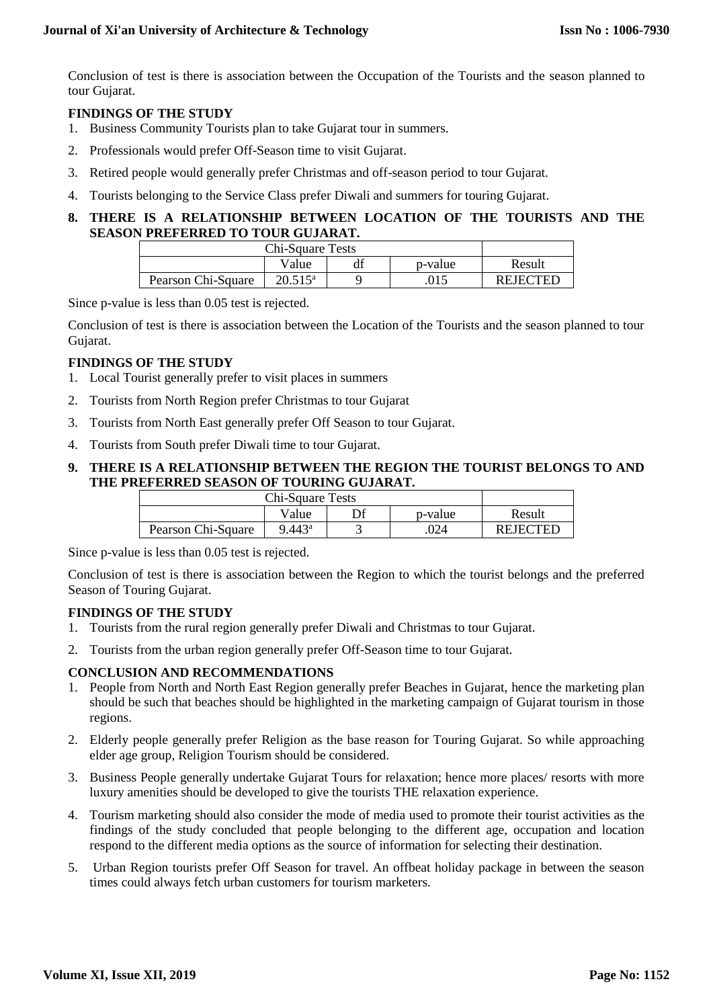Conclusion of test is there is association between the Occupation of the Tourists and the season planned to tour Gujarat.

## **FINDINGS OF THE STUDY**

- 1. Business Community Tourists plan to take Gujarat tour in summers.
- 2. Professionals would prefer Off-Season time to visit Gujarat.
- 3. Retired people would generally prefer Christmas and off-season period to tour Gujarat.
- 4. Tourists belonging to the Service Class prefer Diwali and summers for touring Gujarat.

# **8. THERE IS A RELATIONSHIP BETWEEN LOCATION OF THE TOURISTS AND THE SEASON PREFERRED TO TOUR GUJARAT.**

| <b>Chi-Square Tests</b> |                  |  |  |                 |
|-------------------------|------------------|--|--|-----------------|
|                         | Result           |  |  |                 |
| Pearson Chi-Square      | $20.515^{\rm a}$ |  |  | <b>REJECTED</b> |

Since p-value is less than 0.05 test is rejected.

Conclusion of test is there is association between the Location of the Tourists and the season planned to tour Gujarat.

# **FINDINGS OF THE STUDY**

- 1. Local Tourist generally prefer to visit places in summers
- 2. Tourists from North Region prefer Christmas to tour Gujarat
- 3. Tourists from North East generally prefer Off Season to tour Gujarat.
- 4. Tourists from South prefer Diwali time to tour Gujarat.

# **9. THERE IS A RELATIONSHIP BETWEEN THE REGION THE TOURIST BELONGS TO AND THE PREFERRED SEASON OF TOURING GUJARAT.**

| Chi-Square Tests   |                 |         |                 |
|--------------------|-----------------|---------|-----------------|
|                    | Value           | p-value | Result          |
| Pearson Chi-Square | $9.443^{\rm a}$ | .024    | <b>REJECTED</b> |

Since p-value is less than 0.05 test is rejected.

Conclusion of test is there is association between the Region to which the tourist belongs and the preferred Season of Touring Gujarat.

## **FINDINGS OF THE STUDY**

- 1. Tourists from the rural region generally prefer Diwali and Christmas to tour Gujarat.
- 2. Tourists from the urban region generally prefer Off-Season time to tour Gujarat.

## **CONCLUSION AND RECOMMENDATIONS**

- 1. People from North and North East Region generally prefer Beaches in Gujarat, hence the marketing plan should be such that beaches should be highlighted in the marketing campaign of Gujarat tourism in those regions.
- 2. Elderly people generally prefer Religion as the base reason for Touring Gujarat. So while approaching elder age group, Religion Tourism should be considered.
- 3. Business People generally undertake Gujarat Tours for relaxation; hence more places/ resorts with more luxury amenities should be developed to give the tourists THE relaxation experience.
- 4. Tourism marketing should also consider the mode of media used to promote their tourist activities as the findings of the study concluded that people belonging to the different age, occupation and location respond to the different media options as the source of information for selecting their destination.
- 5. Urban Region tourists prefer Off Season for travel. An offbeat holiday package in between the season times could always fetch urban customers for tourism marketers.